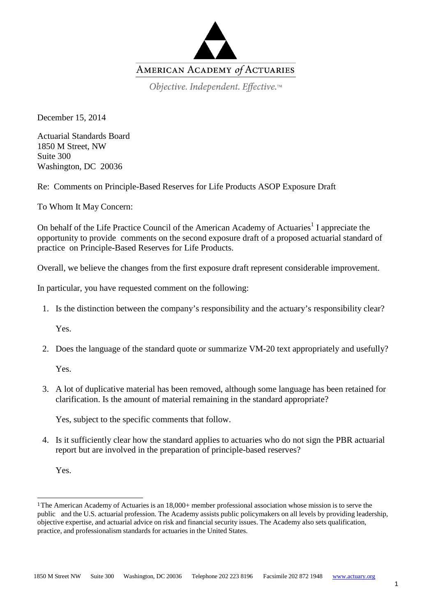

Objective. Independent. Effective.™

December 15, 2014

Actuarial Standards Board 1850 M Street, NW Suite 300 Washington, DC 20036

Re: Comments on Principle-Based Reserves for Life Products ASOP Exposure Draft

To Whom It May Concern:

On behalf of the Life Practice Council of the American Academy of Actuaries<sup>[1](#page-0-0)</sup> I appreciate the opportunity to provide comments on the second exposure draft of a proposed actuarial standard of practice on Principle-Based Reserves for Life Products.

Overall, we believe the changes from the first exposure draft represent considerable improvement.

In particular, you have requested comment on the following:

1. Is the distinction between the company's responsibility and the actuary's responsibility clear?

Yes.

2. Does the language of the standard quote or summarize VM-20 text appropriately and usefully?

Yes.

3. A lot of duplicative material has been removed, although some language has been retained for clarification. Is the amount of material remaining in the standard appropriate?

Yes, subject to the specific comments that follow.

4. Is it sufficiently clear how the standard applies to actuaries who do not sign the PBR actuarial report but are involved in the preparation of principle-based reserves?

Yes.

<span id="page-0-0"></span><sup>1</sup> The American Academy of Actuaries is an 18,000+ member professional association whose mission is to serve the public and the U.S. actuarial profession. The Academy assists public policymakers on all levels by providing leadership, objective expertise, and actuarial advice on risk and financial security issues. The Academy also sets qualification, practice, and professionalism standards for actuaries in the United States.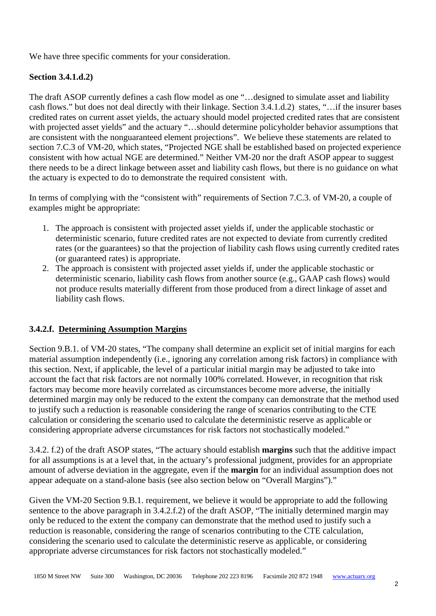We have three specific comments for your consideration.

#### **Section 3.4.1.d.2)**

The draft ASOP currently defines a cash flow model as one "…designed to simulate asset and liability cash flows." but does not deal directly with their linkage. Section 3.4.1.d.2) states, "…if the insurer bases credited rates on current asset yields, the actuary should model projected credited rates that are consistent with projected asset yields" and the actuary "…should determine policyholder behavior assumptions that are consistent with the nonguaranteed element projections". We believe these statements are related to section 7.C.3 of VM-20, which states, "Projected NGE shall be established based on projected experience consistent with how actual NGE are determined." Neither VM-20 nor the draft ASOP appear to suggest there needs to be a direct linkage between asset and liability cash flows, but there is no guidance on what the actuary is expected to do to demonstrate the required consistent with.

In terms of complying with the "consistent with" requirements of Section 7.C.3. of VM-20, a couple of examples might be appropriate:

- 1. The approach is consistent with projected asset yields if, under the applicable stochastic or deterministic scenario, future credited rates are not expected to deviate from currently credited rates (or the guarantees) so that the projection of liability cash flows using currently credited rates (or guaranteed rates) is appropriate.
- 2. The approach is consistent with projected asset yields if, under the applicable stochastic or deterministic scenario, liability cash flows from another source (e.g., GAAP cash flows) would not produce results materially different from those produced from a direct linkage of asset and liability cash flows.

## **3.4.2.f. Determining Assumption Margins**

Section 9.B.1. of VM-20 states, "The company shall determine an explicit set of initial margins for each material assumption independently (i.e., ignoring any correlation among risk factors) in compliance with this section. Next, if applicable, the level of a particular initial margin may be adjusted to take into account the fact that risk factors are not normally 100% correlated. However, in recognition that risk factors may become more heavily correlated as circumstances become more adverse, the initially determined margin may only be reduced to the extent the company can demonstrate that the method used to justify such a reduction is reasonable considering the range of scenarios contributing to the CTE calculation or considering the scenario used to calculate the deterministic reserve as applicable or considering appropriate adverse circumstances for risk factors not stochastically modeled."

3.4.2. f.2) of the draft ASOP states, "The actuary should establish **margins** such that the additive impact for all assumptions is at a level that, in the actuary's professional judgment, provides for an appropriate amount of adverse deviation in the aggregate, even if the **margin** for an individual assumption does not appear adequate on a stand-alone basis (see also section below on "Overall Margins")."

Given the VM-20 Section 9.B.1. requirement, we believe it would be appropriate to add the following sentence to the above paragraph in 3.4.2.f.2) of the draft ASOP, "The initially determined margin may only be reduced to the extent the company can demonstrate that the method used to justify such a reduction is reasonable, considering the range of scenarios contributing to the CTE calculation, considering the scenario used to calculate the deterministic reserve as applicable, or considering appropriate adverse circumstances for risk factors not stochastically modeled."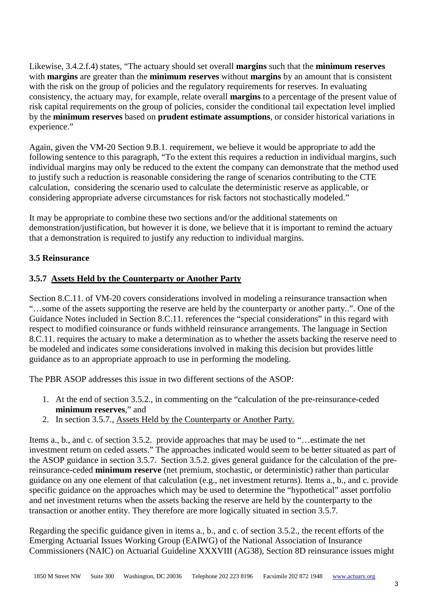Likewise, 3.4.2.f.4) states, "The actuary should set overall **margins** such that the **minimum reserves**  with **margins** are greater than the **minimum reserves** without **margins** by an amount that is consistent with the risk on the group of policies and the regulatory requirements for reserves. In evaluating consistency, the actuary may, for example, relate overall **margins** to a percentage of the present value of risk capital requirements on the group of policies, consider the conditional tail expectation level implied by the **minimum reserves** based on **prudent estimate assumptions**, or consider historical variations in experience."

Again, given the VM-20 Section 9.B.1. requirement, we believe it would be appropriate to add the following sentence to this paragraph, "To the extent this requires a reduction in individual margins, such individual margins may only be reduced to the extent the company can demonstrate that the method used to justify such a reduction is reasonable considering the range of scenarios contributing to the CTE calculation, considering the scenario used to calculate the deterministic reserve as applicable, or considering appropriate adverse circumstances for risk factors not stochastically modeled."

It may be appropriate to combine these two sections and/or the additional statements on demonstration/justification, but however it is done, we believe that it is important to remind the actuary that a demonstration is required to justify any reduction to individual margins.

## **3.5 Reinsurance**

# **3.5.7 Assets Held by the Counterparty or Another Party**

Section 8.C.11. of VM-20 covers considerations involved in modeling a reinsurance transaction when "…some of the assets supporting the reserve are held by the counterparty or another party..". One of the Guidance Notes included in Section 8.C.11. references the "special considerations" in this regard with respect to modified coinsurance or funds withheld reinsurance arrangements. The language in Section 8.C.11. requires the actuary to make a determination as to whether the assets backing the reserve need to be modeled and indicates some considerations involved in making this decision but provides little guidance as to an appropriate approach to use in performing the modeling.

The PBR ASOP addresses this issue in two different sections of the ASOP:

- 1. At the end of section 3.5.2., in commenting on the "calculation of the pre-reinsurance-ceded **minimum reserves**," and
- 2. In section 3.5.7., Assets Held by the Counterparty or Another Party.

Items a., b., and c. of section 3.5.2. provide approaches that may be used to "…estimate the net investment return on ceded assets." The approaches indicated would seem to be better situated as part of the ASOP guidance in section 3.5.7. Section 3.5.2. gives general guidance for the calculation of the prereinsurance-ceded **minimum reserve** (net premium, stochastic, or deterministic) rather than particular guidance on any one element of that calculation (e.g., net investment returns). Items a., b., and c. provide specific guidance on the approaches which may be used to determine the "hypothetical" asset portfolio and net investment returns when the assets backing the reserve are held by the counterparty to the transaction or another entity. They therefore are more logically situated in section 3.5.7.

Regarding the specific guidance given in items a., b., and c. of section 3.5.2., the recent efforts of the Emerging Actuarial Issues Working Group (EAIWG) of the National Association of Insurance Commissioners (NAIC) on Actuarial Guideline XXXVIII (AG38), Section 8D reinsurance issues might